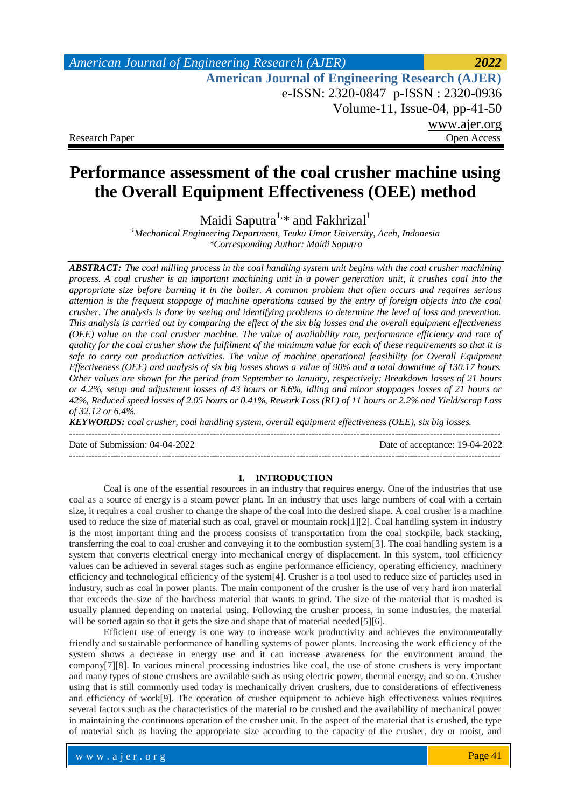# *American Journal of Engineering Research (AJER) 2022*  **American Journal of Engineering Research (AJER)** e-ISSN: 2320-0847 p-ISSN : 2320-0936 Volume-11, Issue-04, pp-41-50 www.ajer.org Research Paper **Open Access** Open Access **Open Access**

# **Performance assessment of the coal crusher machine using the Overall Equipment Effectiveness (OEE) method**

Maidi Saputra<sup>1,\*</sup> and Fakhrizal<sup>1</sup>

*<sup>1</sup>Mechanical Engineering Department, Teuku Umar University, Aceh, Indonesia \*Corresponding Author: Maidi Saputra*

*ABSTRACT: The coal milling process in the coal handling system unit begins with the coal crusher machining process. A coal crusher is an important machining unit in a power generation unit, it crushes coal into the appropriate size before burning it in the boiler. A common problem that often occurs and requires serious attention is the frequent stoppage of machine operations caused by the entry of foreign objects into the coal crusher. The analysis is done by seeing and identifying problems to determine the level of loss and prevention. This analysis is carried out by comparing the effect of the six big losses and the overall equipment effectiveness (OEE) value on the coal crusher machine. The value of availability rate, performance efficiency and rate of quality for the coal crusher show the fulfilment of the minimum value for each of these requirements so that it is safe to carry out production activities. The value of machine operational feasibility for Overall Equipment Effectiveness (OEE) and analysis of six big losses shows a value of 90% and a total downtime of 130.17 hours. Other values are shown for the period from September to January, respectively: Breakdown losses of 21 hours or 4.2%, setup and adjustment losses of 43 hours or 8.6%, idling and minor stoppages losses of 21 hours or 42%, Reduced speed losses of 2.05 hours or 0.41%, Rework Loss (RL) of 11 hours or 2.2% and Yield/scrap Loss of 32.12 or 6.4%.* 

*KEYWORDS: coal crusher, coal handling system, overall equipment effectiveness (OEE), six big losses.*

Date of Submission: 04-04-2022 Date of acceptance: 19-04-2022

---------------------------------------------------------------------------------------------------------------------------------------

### ---------------------------------------------------------------------------------------------------------------------------------------

### **I. INTRODUCTION**

Coal is one of the essential resources in an industry that requires energy. One of the industries that use coal as a source of energy is a steam power plant. In an industry that uses large numbers of coal with a certain size, it requires a coal crusher to change the shape of the coal into the desired shape. A coal crusher is a machine used to reduce the size of material such as coal, gravel or mountain rock[1][2]. Coal handling system in industry is the most important thing and the process consists of transportation from the coal stockpile, back stacking, transferring the coal to coal crusher and conveying it to the combustion system[3]. The coal handling system is a system that converts electrical energy into mechanical energy of displacement. In this system, tool efficiency values can be achieved in several stages such as engine performance efficiency, operating efficiency, machinery efficiency and technological efficiency of the system[4]. Crusher is a tool used to reduce size of particles used in industry, such as coal in power plants. The main component of the crusher is the use of very hard iron material that exceeds the size of the hardness material that wants to grind. The size of the material that is mashed is usually planned depending on material using. Following the crusher process, in some industries, the material will be sorted again so that it gets the size and shape that of material needed[5][6].

Efficient use of energy is one way to increase work productivity and achieves the environmentally friendly and sustainable performance of handling systems of power plants. Increasing the work efficiency of the system shows a decrease in energy use and it can increase awareness for the environment around the company[7][8]. In various mineral processing industries like coal, the use of stone crushers is very important and many types of stone crushers are available such as using electric power, thermal energy, and so on. Crusher using that is still commonly used today is mechanically driven crushers, due to considerations of effectiveness and efficiency of work[9]. The operation of crusher equipment to achieve high effectiveness values requires several factors such as the characteristics of the material to be crushed and the availability of mechanical power in maintaining the continuous operation of the crusher unit. In the aspect of the material that is crushed, the type of material such as having the appropriate size according to the capacity of the crusher, dry or moist, and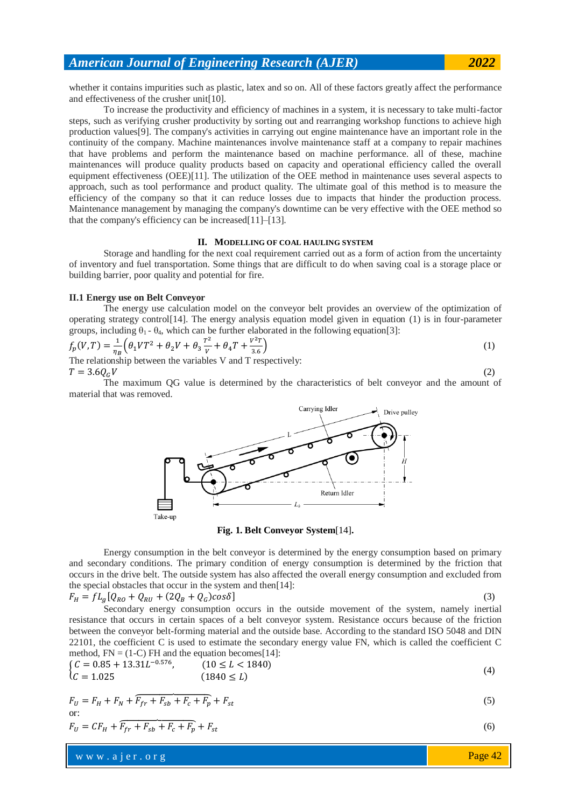whether it contains impurities such as plastic, latex and so on. All of these factors greatly affect the performance and effectiveness of the crusher unit[10].

To increase the productivity and efficiency of machines in a system, it is necessary to take multi-factor steps, such as verifying crusher productivity by sorting out and rearranging workshop functions to achieve high production values[9]. The company's activities in carrying out engine maintenance have an important role in the continuity of the company. Machine maintenances involve maintenance staff at a company to repair machines that have problems and perform the maintenance based on machine performance. all of these, machine maintenances will produce quality products based on capacity and operational efficiency called the overall equipment effectiveness (OEE)[11]. The utilization of the OEE method in maintenance uses several aspects to approach, such as tool performance and product quality. The ultimate goal of this method is to measure the efficiency of the company so that it can reduce losses due to impacts that hinder the production process. Maintenance management by managing the company's downtime can be very effective with the OEE method so that the company's efficiency can be increased[11]–[13].

### **II. MODELLING OF COAL HAULING SYSTEM**

Storage and handling for the next coal requirement carried out as a form of action from the uncertainty of inventory and fuel transportation. Some things that are difficult to do when saving coal is a storage place or building barrier, poor quality and potential for fire.

### **II.1 Energy use on Belt Conveyor**

The energy use calculation model on the conveyor belt provides an overview of the optimization of operating strategy control[14]. The energy analysis equation model given in equation (1) is in four-parameter groups, including  $\theta_1$  -  $\theta_4$ , which can be further elaborated in the following equation[3]:

$$
f_p(V,T) = \frac{1}{\eta_B} \left( \theta_1 V T^2 + \theta_2 V + \theta_3 \frac{T^2}{V} + \theta_4 T + \frac{V^2 T}{3.6} \right)
$$
\nThe relationship between the variables  $V$  and  $T$  necessarily:

\n
$$
V = \frac{V^2 T}{V}
$$
\n(1)

The relationship between the variables V and T respectively:  $T = 3.60cV$  (2)

The maximum QG value is determined by the characteristics of belt conveyor and the amount of material that was removed.



**Fig. 1. Belt Conveyor System**[14]**.**

Energy consumption in the belt conveyor is determined by the energy consumption based on primary and secondary conditions. The primary condition of energy consumption is determined by the friction that occurs in the drive belt. The outside system has also affected the overall energy consumption and excluded from the special obstacles that occur in the system and then[14]:

$$
F_H = fL_g[Q_{R0} + Q_{RU} + (2Q_B + Q_G)cos\delta]
$$
\n
$$
(3)
$$

Secondary energy consumption occurs in the outside movement of the system, namely inertial resistance that occurs in certain spaces of a belt conveyor system. Resistance occurs because of the friction between the conveyor belt-forming material and the outside base. According to the standard ISO 5048 and DIN 22101, the coefficient C is used to estimate the secondary energy value FN, which is called the coefficient C method,  $FN = (1-C) FH$  and the equation becomes [14]:

$$
\begin{cases}\nC = 0.85 + 13.31L^{-0.576}, & (10 \le L < 1840) \\
C = 1.025 & (1840 \le L)\n\end{cases}
$$
\n
$$
(4)
$$

$$
F_U = F_H + F_N + \overline{F_{fr} + F_{sb} + F_c + F_p} + F_{st}
$$
\nor: (5)

$$
F_U = CF_H + \overline{F_{fr} + F_{sh} + F_c + F_p} + F_{st} \tag{6}
$$

w w w . a j e r . o r g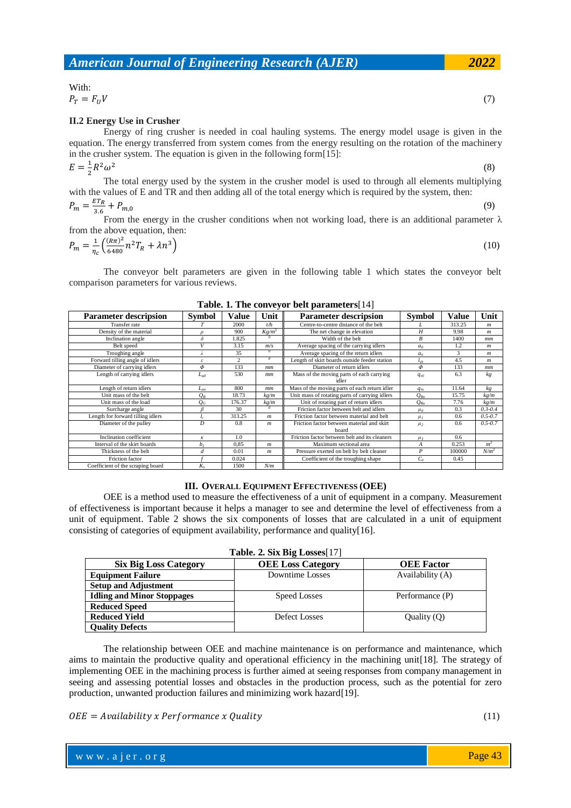### With:

 $P_T = F_U V$  (7)

### **II.2 Energy Use in Crusher**

Energy of ring crusher is needed in coal hauling systems. The energy model usage is given in the equation. The energy transferred from system comes from the energy resulting on the rotation of the machinery in the crusher system. The equation is given in the following form[15]:  $E = \frac{1}{2}$  $\frac{1}{2}R^2$ (8)

The total energy used by the system in the crusher model is used to through all elements multiplying with the values of E and TR and then adding all of the total energy which is required by the system, then: E

$$
P_m = \frac{E I_R}{3.6} + P_{m,0}
$$
 (9)

From the energy in the crusher conditions when not working load, there is an additional parameter  $\lambda$ from the above equation, then:

$$
P_m = \frac{1}{\eta_c} \left( \frac{(R\pi)^2}{6480} n^2 T_R + \lambda n^3 \right) \tag{10}
$$

The conveyor belt parameters are given in the following table 1 which states the conveyor belt comparison parameters for various reviews.

| <b>Parameter descripsion</b>      | <b>Symbol</b>  | Value          | Unit             | <b>Parameter descripsion</b>                        | <b>Symbol</b>    | Value  | Unit             |
|-----------------------------------|----------------|----------------|------------------|-----------------------------------------------------|------------------|--------|------------------|
| Transfer rate                     |                | 2000           | t/h              | Centre-to-centre distance of the belt               |                  | 313.25 | m                |
| Density of the material           | $\theta$       | 900            | $Kg/m^3$         | The net change in elevation                         | H                | 9.98   | m                |
| Inclination angle                 | δ              | 1.825          |                  | Width of the belt                                   | B                | 1400   | $_{mm}$          |
| Belt speed                        | V              | 3.15           | m/s              | Average spacing of the carrying idlers              | a <sub>0</sub>   | 1.2    | m                |
| Troughing angle                   |                | 35             | $\theta$         | Average spacing of the return idlers                | $a_u$            | 3      | $\boldsymbol{m}$ |
| Forward tilling angle of idlers   | ε              | $\overline{c}$ | $\overline{0}$   | Length of skirt boards outside feeder station       | $_{sb}$          | 4.5    | $\boldsymbol{m}$ |
| Diameter of carrying idlers       | Φ              | 133            | mm               | Diameter of return idlers                           | Φ                | 133    | mm               |
| Length of carrying idlers         | $L_{a0}$       | 530            | mm               | Mass of the moving parts of each carrying<br>idler  | $q_{r0}$         | 6.3    | kg               |
| Length of return idlers           | $L_{au}$       | 800            | $_{mm}$          | Mass of the moving parts of each return idler       | $q_{ru}$         | 11.64  | kg               |
| Unit mass of the belt             | $Q_B$          | 18.73          | kg/m             | Unit mass of rotating parts of carrying idlers      | $Q_{Ro}$         | 15.75  | kg/m             |
| Unit mass of the load             | $Q_G$          | 176.37         | kg/m             | Unit of rotating part of return idlers              | $Q_{Ru}$         | 7.76   | kg/m             |
| Surcharge angle                   | R              | 30             | $\theta$         | Friction factor between belt and idlers             | $\mu_0$          | 0.3    | $0.3 - 0.4$      |
| Length for forward tilling idlers |                | 313.25         | $\boldsymbol{m}$ | Friction factor between material and belt           | $\mu_I$          | 0.6    | $0.5 - 0.7$      |
| Diameter of the pulley            | D              | 0.8            | m                | Friction factor between material and skirt<br>board | $\mu_2$          | 0.6    | $0.5 - 0.7$      |
| Inclination coefficient           | κ              | 1.0            |                  | Friction factor between belt and its cleaners       | $\mu_3$          | 0.6    |                  |
| Interval of the skirt boards      | b <sub>I</sub> | 0.85           | $\boldsymbol{m}$ | Maximum sectional area                              | A                | 0.253  | m <sup>2</sup>   |
| Thickness of the belt             | d              | 0.01           | $\boldsymbol{m}$ | Pressure exerted on belt by belt cleaner            | $\boldsymbol{P}$ | 100000 | $N/m^2$          |
| Friction factor                   |                | 0.024          |                  | Coefficient of the troughing shape                  | $C_{e}$          | 0.45   |                  |
| Coefficient of the scraping board | $K_{\rm c}$    | 1500           | N/m              |                                                     |                  |        |                  |

### **Table. 1. The conveyor belt parameters**[14]

### **III. OVERALL EQUIPMENT EFFECTIVENESS (OEE)**

OEE is a method used to measure the effectiveness of a unit of equipment in a company. Measurement of effectiveness is important because it helps a manager to see and determine the level of effectiveness from a unit of equipment. Table 2 shows the six components of losses that are calculated in a unit of equipment consisting of categories of equipment availability, performance and quality[16].

| Table. 2. Six Big Losses[17]      |                          |                   |  |  |  |
|-----------------------------------|--------------------------|-------------------|--|--|--|
| <b>Six Big Loss Category</b>      | <b>OEE</b> Loss Category | <b>OEE</b> Factor |  |  |  |
| <b>Equipment Failure</b>          | Downtime Losses          | Availability (A)  |  |  |  |
| <b>Setup and Adjustment</b>       |                          |                   |  |  |  |
| <b>Idling and Minor Stoppages</b> | Speed Losses             | Performance (P)   |  |  |  |
| <b>Reduced Speed</b>              |                          |                   |  |  |  |
| <b>Reduced Yield</b>              | Defect Losses            | Quality $(Q)$     |  |  |  |
| <b>Ouality Defects</b>            |                          |                   |  |  |  |

The relationship between OEE and machine maintenance is on performance and maintenance, which aims to maintain the productive quality and operational efficiency in the machining unit[18]. The strategy of implementing OEE in the machining process is further aimed at seeing responses from company management in seeing and assessing potential losses and obstacles in the production process, such as the potential for zero production, unwanted production failures and minimizing work hazard[19].

 $OEE = Availability \times Performance \times Quality$  (11)

Page 43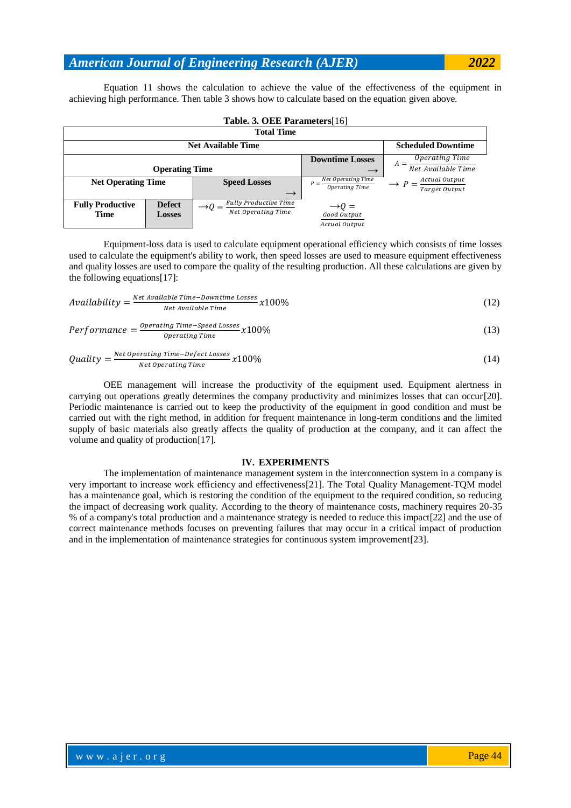Equation 11 shows the calculation to achieve the value of the effectiveness of the equipment in achieving high performance. Then table 3 shows how to calculate based on the equation given above.

| <b>Total Time</b>         |               |                                      |                                                     |                                |  |
|---------------------------|---------------|--------------------------------------|-----------------------------------------------------|--------------------------------|--|
|                           |               | <b>Net Available Time</b>            |                                                     | <b>Scheduled Downtime</b>      |  |
|                           |               |                                      | <b>Downtime Losses</b>                              | Operating Time<br>$A =$        |  |
| <b>Operating Time</b>     |               |                                      |                                                     | Net Available Time             |  |
| <b>Net Operating Time</b> |               | <b>Speed Losses</b><br>$\rightarrow$ | $P = \frac{Net\ Operating\ Time}$<br>Operating Time | Actual Output<br>Target Output |  |
| <b>Fully Productive</b>   | <b>Defect</b> | Fully Productive Time                |                                                     |                                |  |
|                           |               | Net Operating Time                   | $\rightarrow Q =$                                   |                                |  |
| <b>Time</b>               | <b>Losses</b> |                                      | Good Output                                         |                                |  |
|                           |               |                                      | Actual Output                                       |                                |  |

**Table. 3. OEE Parameters**[16]

Equipment-loss data is used to calculate equipment operational efficiency which consists of time losses used to calculate the equipment's ability to work, then speed losses are used to measure equipment effectiveness and quality losses are used to compare the quality of the resulting production. All these calculations are given by the following equations[17]:

$$
Available \underline{12} \over \underline{Ne} \underline{14} \underline{value} \underline{Time} - \underline{Downtime} \underline{100\%}
$$
\n
$$
(12)
$$

$$
Performance = \frac{Operating\ Time - Speed\ Losses}{Operating\ Time} \times 100\%
$$
\n(13)

$$
Quality = \frac{Net \, Operating \, Time \, - \, Defect \, losses}{Net \, operating \, Time} \, x100\%
$$
\n(14)

OEE management will increase the productivity of the equipment used. Equipment alertness in carrying out operations greatly determines the company productivity and minimizes losses that can occur[20]. Periodic maintenance is carried out to keep the productivity of the equipment in good condition and must be carried out with the right method, in addition for frequent maintenance in long-term conditions and the limited supply of basic materials also greatly affects the quality of production at the company, and it can affect the volume and quality of production[17].

#### **IV. EXPERIMENTS**

The implementation of maintenance management system in the interconnection system in a company is very important to increase work efficiency and effectiveness[21]. The Total Quality Management-TQM model has a maintenance goal, which is restoring the condition of the equipment to the required condition, so reducing the impact of decreasing work quality. According to the theory of maintenance costs, machinery requires 20-35 % of a company's total production and a maintenance strategy is needed to reduce this impact[22] and the use of correct maintenance methods focuses on preventing failures that may occur in a critical impact of production and in the implementation of maintenance strategies for continuous system improvement[23].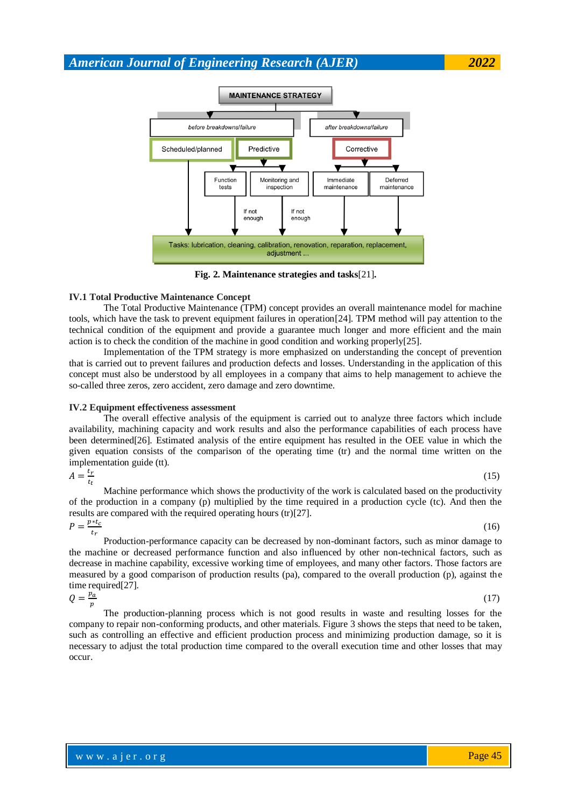

**Fig. 2. Maintenance strategies and tasks**[21]**.**

### **IV.1 Total Productive Maintenance Concept**

The Total Productive Maintenance (TPM) concept provides an overall maintenance model for machine tools, which have the task to prevent equipment failures in operation[24]. TPM method will pay attention to the technical condition of the equipment and provide a guarantee much longer and more efficient and the main action is to check the condition of the machine in good condition and working properly[25].

Implementation of the TPM strategy is more emphasized on understanding the concept of prevention that is carried out to prevent failures and production defects and losses. Understanding in the application of this concept must also be understood by all employees in a company that aims to help management to achieve the so-called three zeros, zero accident, zero damage and zero downtime.

### **IV.2 Equipment effectiveness assessment**

The overall effective analysis of the equipment is carried out to analyze three factors which include availability, machining capacity and work results and also the performance capabilities of each process have been determined[26]. Estimated analysis of the entire equipment has resulted in the OEE value in which the given equation consists of the comparison of the operating time (tr) and the normal time written on the implementation guide (tt).

$$
A = \frac{t_r}{t_t}
$$

(15)

Machine performance which shows the productivity of the work is calculated based on the productivity of the production in a company (p) multiplied by the time required in a production cycle (tc). And then the results are compared with the required operating hours (tr)[27].  $n * t$ 

$$
P = \frac{P_{t}^{*c}}{t_r}
$$

 $(16)$ 

Production-performance capacity can be decreased by non-dominant factors, such as minor damage to the machine or decreased performance function and also influenced by other non-technical factors, such as decrease in machine capability, excessive working time of employees, and many other factors. Those factors are measured by a good comparison of production results (pa), compared to the overall production (p), against the time required[27].

 $Q=\frac{p}{q}$  $\boldsymbol{v}$  $(17)$ 

The production-planning process which is not good results in waste and resulting losses for the company to repair non-conforming products, and other materials. Figure 3 shows the steps that need to be taken, such as controlling an effective and efficient production process and minimizing production damage, so it is necessary to adjust the total production time compared to the overall execution time and other losses that may occur.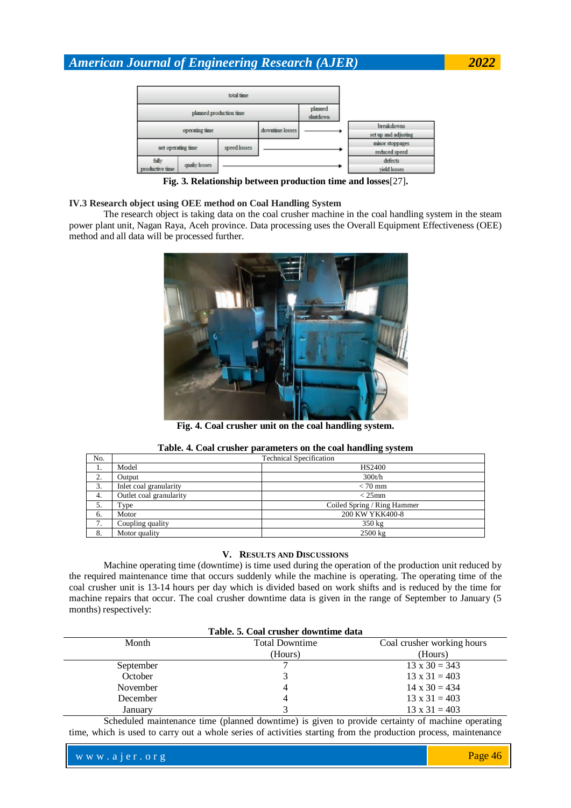|                          |                | planned production time |                 | planned<br>shutdown |                                    |
|--------------------------|----------------|-------------------------|-----------------|---------------------|------------------------------------|
|                          | operating time |                         | downtime losses |                     | breakdowns<br>set up and adjusting |
| net operating time       |                | speed losses            |                 |                     | minor stoppages<br>reduced speed   |
| fully<br>productive time | qualiy losses  |                         |                 |                     | defects<br>vield losses            |

**Fig. 3. Relationship between production time and losses**[27]**.**

### **IV.3 Research object using OEE method on Coal Handling System**

The research object is taking data on the coal crusher machine in the coal handling system in the steam power plant unit, Nagan Raya, Aceh province. Data processing uses the Overall Equipment Effectiveness (OEE) method and all data will be processed further.



**Fig. 4. Coal crusher unit on the coal handling system.**

|     | ———————                        |                             |  |  |  |
|-----|--------------------------------|-----------------------------|--|--|--|
| No. | <b>Technical Specification</b> |                             |  |  |  |
| 1.  | Model                          | HS2400                      |  |  |  |
| 2.  | Output                         | 300t/h                      |  |  |  |
| 3.  | Inlet coal granularity         | $< 70$ mm                   |  |  |  |
| 4.  | Outlet coal granularity        | $<$ 25 $mm$                 |  |  |  |
| 5.  | Type                           | Coiled Spring / Ring Hammer |  |  |  |
| 6.  | Motor                          | 200 KW YKK400-8             |  |  |  |
| 7.  | Coupling quality               | $350 \text{ kg}$            |  |  |  |
| 8.  | Motor quality                  | $2500 \text{ kg}$           |  |  |  |

### **Table. 4. Coal crusher parameters on the coal handling system**

### **V. RESULTS AND DISCUSSIONS**

Machine operating time (downtime) is time used during the operation of the production unit reduced by the required maintenance time that occurs suddenly while the machine is operating. The operating time of the coal crusher unit is 13-14 hours per day which is divided based on work shifts and is reduced by the time for machine repairs that occur. The coal crusher downtime data is given in the range of September to January (5 months) respectively:

| Table. 5. Coal crusher downtime data |                       |                            |  |  |  |
|--------------------------------------|-----------------------|----------------------------|--|--|--|
| Month                                | <b>Total Downtime</b> | Coal crusher working hours |  |  |  |
|                                      | (Hours)               | (Hours)                    |  |  |  |
| September                            |                       | $13 \times 30 = 343$       |  |  |  |
| October                              |                       | $13 \times 31 = 403$       |  |  |  |
| November                             |                       | $14 \times 30 = 434$       |  |  |  |
| December                             |                       | $13 \times 31 = 403$       |  |  |  |
| January                              |                       | $13 \times 31 = 403$       |  |  |  |

Scheduled maintenance time (planned downtime) is given to provide certainty of machine operating time, which is used to carry out a whole series of activities starting from the production process, maintenance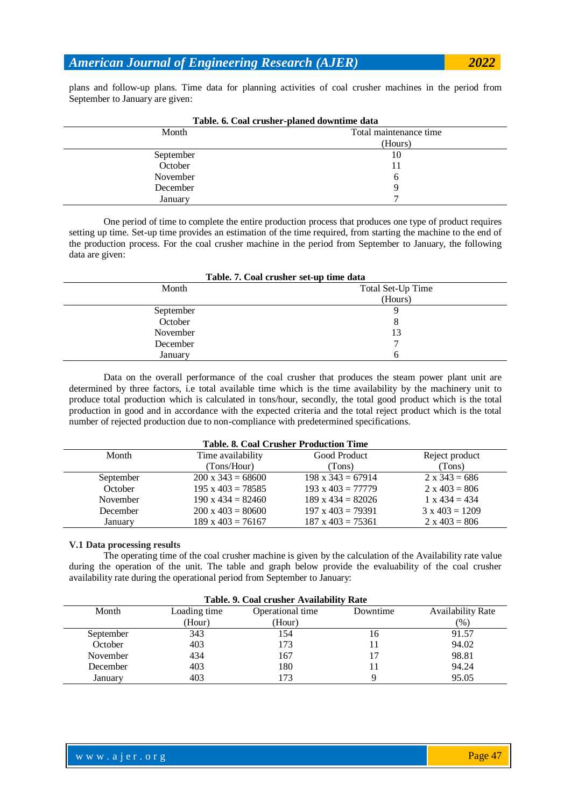plans and follow-up plans. Time data for planning activities of coal crusher machines in the period from September to January are given:

| Table. v. Coal et asher-planed downthine data |                        |  |  |  |
|-----------------------------------------------|------------------------|--|--|--|
| Month                                         | Total maintenance time |  |  |  |
|                                               | (Hours)                |  |  |  |
| September                                     | 10                     |  |  |  |
| October                                       |                        |  |  |  |
| November                                      | O                      |  |  |  |
| December                                      |                        |  |  |  |
| January                                       | −                      |  |  |  |
|                                               |                        |  |  |  |

|  | Table. 6. Coal crusher-planed downtime data |  |  |
|--|---------------------------------------------|--|--|
|--|---------------------------------------------|--|--|

One period of time to complete the entire production process that produces one type of product requires setting up time. Set-up time provides an estimation of the time required, from starting the machine to the end of the production process. For the coal crusher machine in the period from September to January, the following data are given:

| Table. 7. Coal crusher set-up time data |                   |  |  |  |
|-----------------------------------------|-------------------|--|--|--|
| Month                                   | Total Set-Up Time |  |  |  |
|                                         | (Hours)           |  |  |  |
| September                               |                   |  |  |  |
| October                                 | 8                 |  |  |  |
| November                                | 13                |  |  |  |
| December                                | ⇁                 |  |  |  |
| January                                 | h                 |  |  |  |

Data on the overall performance of the coal crusher that produces the steam power plant unit are determined by three factors, i.e total available time which is the time availability by the machinery unit to produce total production which is calculated in tons/hour, secondly, the total good product which is the total production in good and in accordance with the expected criteria and the total reject product which is the total number of rejected production due to non-compliance with predetermined specifications.

| <b>Table. 8. Coal Crusher Production Time</b> |                          |                          |                       |  |  |
|-----------------------------------------------|--------------------------|--------------------------|-----------------------|--|--|
| Month                                         | Time availability        | Good Product             | Reject product        |  |  |
|                                               | (Tons/Hour)              | (Tons)                   | (Tons)                |  |  |
| September                                     | $200 \times 343 = 68600$ | $198 \times 343 = 67914$ | $2 \times 343 = 686$  |  |  |
| October                                       | $195 \times 403 = 78585$ | $193 \times 403 = 77779$ | $2 \times 403 = 806$  |  |  |
| November                                      | $190 \times 434 = 82460$ | $189 \times 434 = 82026$ | $1 \times 434 = 434$  |  |  |
| December                                      | $200 \times 403 = 80600$ | $197 \times 403 = 79391$ | $3 \times 403 = 1209$ |  |  |
| January                                       | $189 \times 403 = 76167$ | $187 \times 403 = 75361$ | $2 \times 403 = 806$  |  |  |

### **V.1 Data processing results**

The operating time of the coal crusher machine is given by the calculation of the Availability rate value during the operation of the unit. The table and graph below provide the evaluability of the coal crusher availability rate during the operational period from September to January:

|           | Table. 9. Coal crusher Availability Rate |                  |          |                          |  |  |
|-----------|------------------------------------------|------------------|----------|--------------------------|--|--|
| Month     | Loading time                             | Operational time | Downtime | <b>Availability Rate</b> |  |  |
|           | (Hour)                                   | (Hour)           |          | (%)                      |  |  |
| September | 343                                      | 154              | 16       | 91.57                    |  |  |
| October   | 403                                      | 173              | 11       | 94.02                    |  |  |
| November  | 434                                      | 167              | 17       | 98.81                    |  |  |
| December  | 403                                      | 180              |          | 94.24                    |  |  |
| January   | 403                                      | 73               |          | 95.05                    |  |  |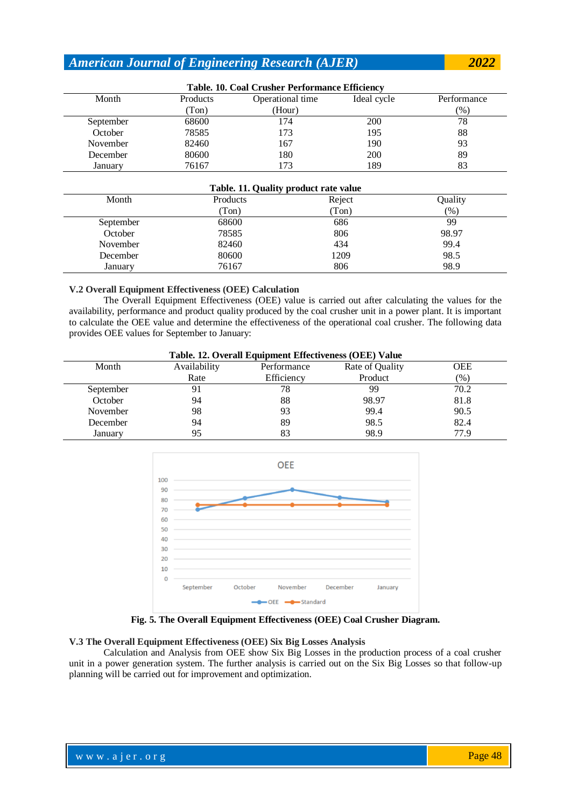| Table. 10. Coal Crusher Performance Efficiency |          |                  |             |             |  |
|------------------------------------------------|----------|------------------|-------------|-------------|--|
| Month                                          | Products | Operational time | Ideal cycle | Performance |  |
|                                                | (Ton)    | (Hour)           |             | $(\%)$      |  |
| September                                      | 68600    | 174              | 200         | 78          |  |
| October                                        | 78585    | 173              | 195         | 88          |  |
| November                                       | 82460    | 167              | 190         | 93          |  |
| December                                       | 80600    | 180              | 200         | 89          |  |
| January                                        | 76167    | 173              | 189         | 83          |  |

### **Table. 10. Coal Crusher Performance Efficiency**

### **Table. 11. Quality product rate value**

| $\sim$    |          |        |         |  |
|-----------|----------|--------|---------|--|
| Month     | Products | Reject | Ouality |  |
|           | Ton)     | (Ton)  | (% )    |  |
| September | 68600    | 686    | 99      |  |
| October   | 78585    | 806    | 98.97   |  |
| November  | 82460    | 434    | 99.4    |  |
| December  | 80600    | 1209   | 98.5    |  |
| January   | 76167    | 806    | 98.9    |  |
|           |          |        |         |  |

### **V.2 Overall Equipment Effectiveness (OEE) Calculation**

The Overall Equipment Effectiveness (OEE) value is carried out after calculating the values for the availability, performance and product quality produced by the coal crusher unit in a power plant. It is important to calculate the OEE value and determine the effectiveness of the operational coal crusher. The following data provides OEE values for September to January:

| Table. 12. Overall Equipment Effectiveness (OEE) Value |              |             |                 |            |
|--------------------------------------------------------|--------------|-------------|-----------------|------------|
| Month                                                  | Availability | Performance | Rate of Quality | <b>OEE</b> |
|                                                        | Rate         | Efficiency  | Product         | (% )       |
| September                                              | 91           | 78          | 99              | 70.2       |
| October                                                | 94           | 88          | 98.97           | 81.8       |
| November                                               | 98           | 93          | 99.4            | 90.5       |
| December                                               | 94           | 89          | 98.5            | 82.4       |
| January                                                | 95           | 83          | 98.9            | 779        |



**Fig. 5. The Overall Equipment Effectiveness (OEE) Coal Crusher Diagram.**

### **V.3 The Overall Equipment Effectiveness (OEE) Six Big Losses Analysis**

Calculation and Analysis from OEE show Six Big Losses in the production process of a coal crusher unit in a power generation system. The further analysis is carried out on the Six Big Losses so that follow-up planning will be carried out for improvement and optimization.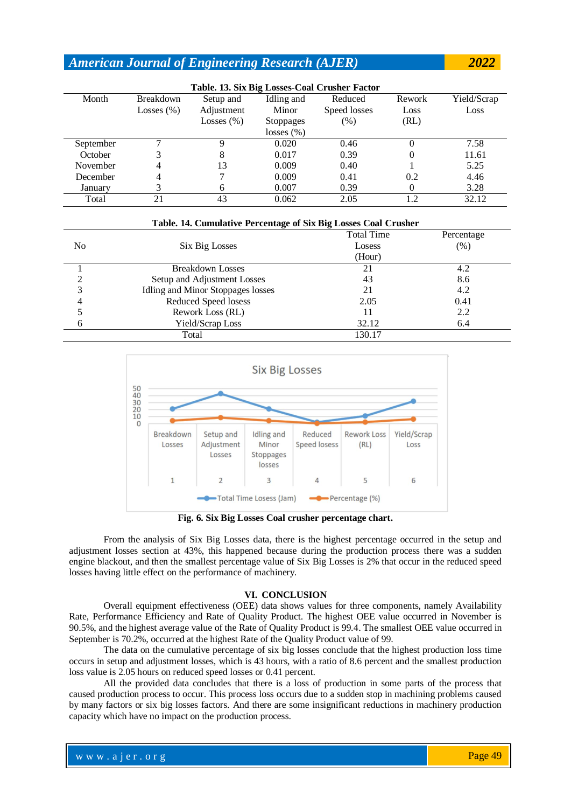| Table. 13. Six Big Losses-Coal Crusher Factor |                  |               |                  |              |        |             |
|-----------------------------------------------|------------------|---------------|------------------|--------------|--------|-------------|
| Month                                         | <b>Breakdown</b> | Setup and     | Idling and       | Reduced      | Rework | Yield/Scrap |
|                                               | Losses $(\% )$   | Adjustment    | Minor            | Speed losses | Loss   | Loss        |
|                                               |                  | Losses $(\%)$ | <b>Stoppages</b> | $(\%)$       | (RL)   |             |
|                                               |                  |               | losses $(\%)$    |              |        |             |
| September                                     |                  |               | 0.020            | 0.46         | 0      | 7.58        |
| October                                       |                  | 8             | 0.017            | 0.39         | 0      | 11.61       |
| November                                      | 4                | 13            | 0.009            | 0.40         |        | 5.25        |
| December                                      | 4                |               | 0.009            | 0.41         | 0.2    | 4.46        |
| January                                       |                  | 6             | 0.007            | 0.39         | 0      | 3.28        |
| Total                                         | 21               | 43            | 0.062            | 2.05         | 12     | 32.12       |

| Table. 14. Cumulative Percentage of Six Big Losses Coal Crusher |                                   |                   |            |  |
|-----------------------------------------------------------------|-----------------------------------|-------------------|------------|--|
|                                                                 |                                   | <b>Total Time</b> | Percentage |  |
| N <sub>0</sub>                                                  | Six Big Losses                    | Losess            | (% )       |  |
|                                                                 |                                   | (Hour)            |            |  |
|                                                                 | <b>Breakdown Losses</b>           | 21                | 4.2        |  |
| ◠                                                               | Setup and Adjustment Losses       | 43                | 8.6        |  |
| 3                                                               | Idling and Minor Stoppages losses | 21                | 4.2        |  |
| 4                                                               | Reduced Speed losess              | 2.05              | 0.41       |  |
|                                                                 | Rework Loss (RL)                  |                   | 2.2        |  |
|                                                                 | Yield/Scrap Loss                  | 32.12             | 6.4        |  |
|                                                                 | Total                             | 130.17            |            |  |



**Fig. 6. Six Big Losses Coal crusher percentage chart.**

From the analysis of Six Big Losses data, there is the highest percentage occurred in the setup and adjustment losses section at 43%, this happened because during the production process there was a sudden engine blackout, and then the smallest percentage value of Six Big Losses is 2% that occur in the reduced speed losses having little effect on the performance of machinery.

### **VI. CONCLUSION**

Overall equipment effectiveness (OEE) data shows values for three components, namely Availability Rate, Performance Efficiency and Rate of Quality Product. The highest OEE value occurred in November is 90.5%, and the highest average value of the Rate of Quality Product is 99.4. The smallest OEE value occurred in September is 70.2%, occurred at the highest Rate of the Quality Product value of 99.

The data on the cumulative percentage of six big losses conclude that the highest production loss time occurs in setup and adjustment losses, which is 43 hours, with a ratio of 8.6 percent and the smallest production loss value is 2.05 hours on reduced speed losses or 0.41 percent.

All the provided data concludes that there is a loss of production in some parts of the process that caused production process to occur. This process loss occurs due to a sudden stop in machining problems caused by many factors or six big losses factors. And there are some insignificant reductions in machinery production capacity which have no impact on the production process.